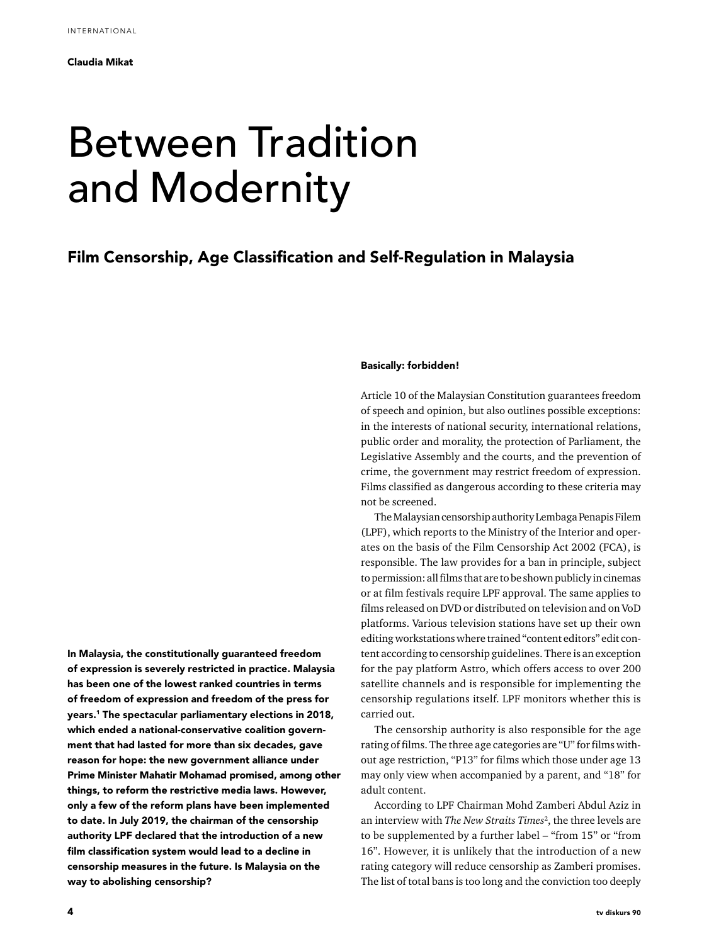# Between Tradition and Modernity

## Film Censorship, Age Classification and Self-Regulation in Malaysia

In Malaysia, the constitutionally guaranteed freedom of expression is severely restricted in practice. Malaysia has been one of the lowest ranked countries in terms of freedom of expression and freedom of the press for years.1 The spectacular parliamentary elections in 2018, which ended a national-conservative coalition government that had lasted for more than six decades, gave reason for hope: the new government alliance under Prime Minister Mahatir Mohamad promised, among other things, to reform the restrictive media laws. However, only a few of the reform plans have been implemented to date. In July 2019, the chairman of the censorship authority LPF declared that the introduction of a new film classification system would lead to a decline in censorship measures in the future. Is Malaysia on the way to abolishing censorship?

### Basically: forbidden!

Article 10 of the Malaysian Constitution guarantees freedom of speech and opinion, but also outlines possible exceptions: in the interests of national security, international relations, public order and morality, the protection of Parliament, the Legislative Assembly and the courts, and the prevention of crime, the government may restrict freedom of expression. Films classified as dangerous according to these criteria may not be screened.

The Malaysian censorship authority Lembaga Penapis Filem (LPF), which reports to the Ministry of the Interior and operates on the basis of the Film Censorship Act 2002 (FCA), is responsible. The law provides for a ban in principle, subject to permission: all films that are to be shown publicly in cinemas or at film festivals require LPF approval. The same applies to films released on DVD or distributed on television and on VoD platforms. Various television stations have set up their own editing workstations where trained "content editors" edit content according to censorship guidelines. There is an exception for the pay platform Astro, which offers access to over 200 satellite channels and is responsible for implementing the censorship regulations itself. LPF monitors whether this is carried out.

The censorship authority is also responsible for the age rating of films. The three age categories are "U" for films without age restriction, "P13" for films which those under age 13 may only view when accompanied by a parent, and "18" for adult content.

According to LPF Chairman Mohd Zamberi Abdul Aziz in an interview with *The New Straits Times<sup>2</sup>*, the three levels are to be supplemented by a further label – "from 15" or "from 16". However, it is unlikely that the introduction of a new rating category will reduce censorship as Zamberi promises. The list of total bans is too long and the conviction too deeply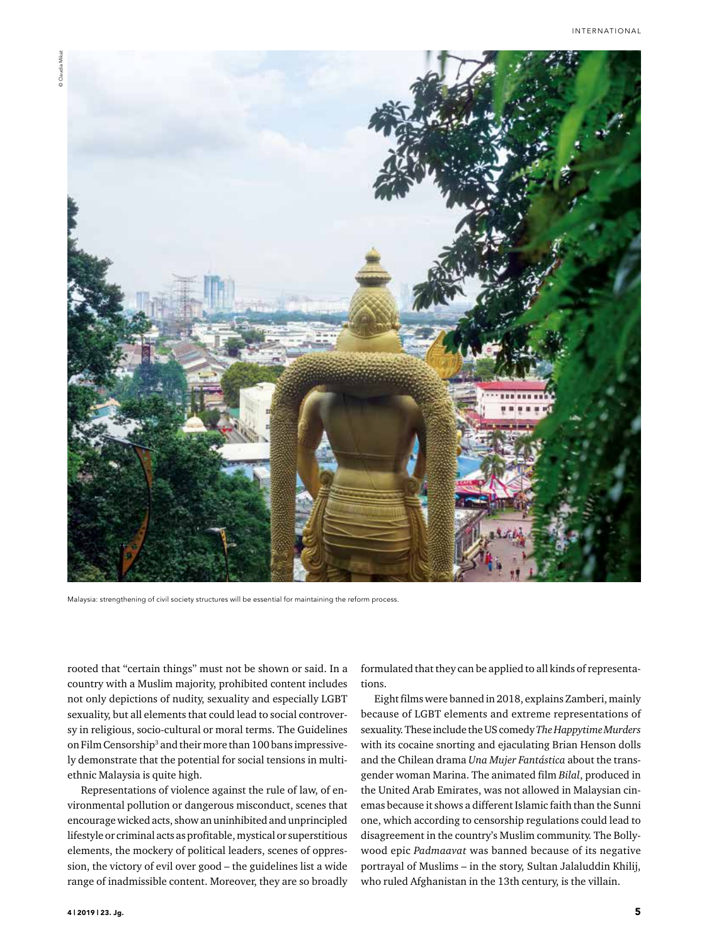

Malaysia: strengthening of civil society structures will be essential for maintaining the reform process.

rooted that "certain things" must not be shown or said. In a country with a Muslim majority, prohibited content includes not only depictions of nudity, sexuality and especially LGBT sexuality, but all elements that could lead to social controversy in religious, socio-cultural or moral terms. The Guidelines on Film Censorship<sup>3</sup> and their more than 100 bans impressively demonstrate that the potential for social tensions in multiethnic Malaysia is quite high.

Representations of violence against the rule of law, of environmental pollution or dangerous misconduct, scenes that encourage wicked acts, show an uninhibited and unprincipled lifestyle or criminal acts as profitable, mystical or superstitious elements, the mockery of political leaders, scenes of oppression, the victory of evil over good – the guidelines list a wide range of inadmissible content. Moreover, they are so broadly

formulated that they can be applied to all kinds of representations.

Eight films were banned in 2018, explains Zamberi, mainly because of LGBT elements and extreme representations of sexuality. These include the US comedy *The Happytime Murders* with its cocaine snorting and ejaculating Brian Henson dolls and the Chilean drama *Una Mujer Fantástica* about the transgender woman Marina. The animated film *Bilal*, produced in the United Arab Emirates, was not allowed in Malaysian cinemas because it shows a different Islamic faith than the Sunni one, which according to censorship regulations could lead to disagreement in the country's Muslim community. The Bollywood epic *Padmaavat* was banned because of its negative portrayal of Muslims – in the story, Sultan Jalaluddin Khilij, who ruled Afghanistan in the 13th century, is the villain.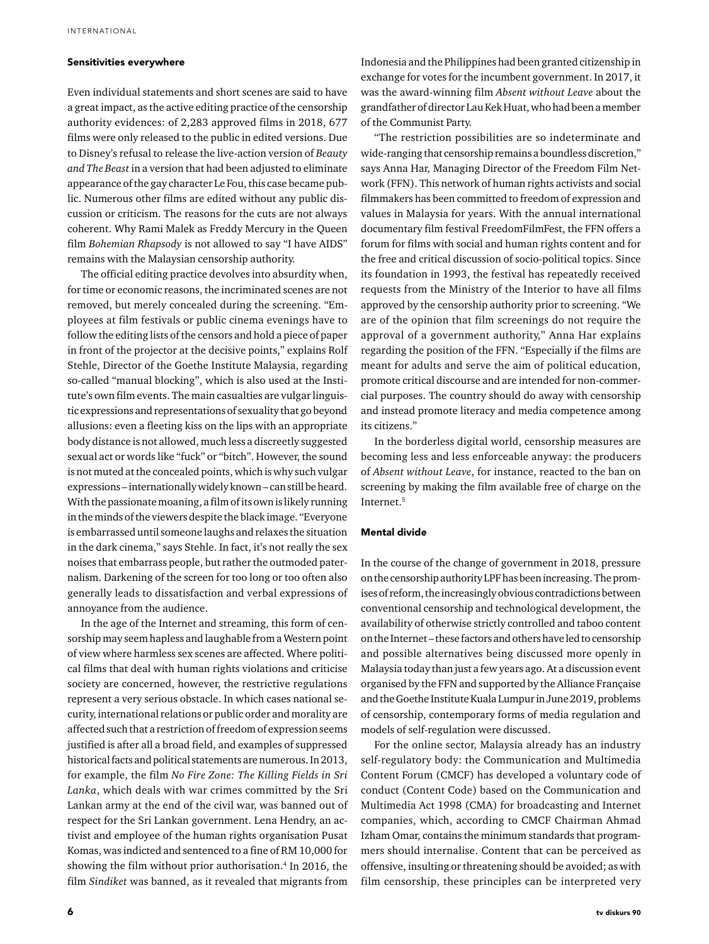#### Sensitivities everywhere

Even individual statements and short scenes are said to have a great impact, as the active editing practice of the censorship authority evidences: of 2,283 approved films in 2018, 677 films were only released to the public in edited versions. Due to Disney's refusal to release the live-action version of *Beauty and The Beast* in a version that had been adjusted to eliminate appearance of the gay character Le Fou, this case became public. Numerous other films are edited without any public discussion or criticism. The reasons for the cuts are not always coherent. Why Rami Malek as Freddy Mercury in the Queen film *Bohemian Rhapsody* is not allowed to say "I have AIDS" remains with the Malaysian censorship authority.

The official editing practice devolves into absurdity when, for time or economic reasons, the incriminated scenes are not removed, but merely concealed during the screening. "Employees at film festivals or public cinema evenings have to follow the editing lists of the censors and hold a piece of paper in front of the projector at the decisive points," explains Rolf Stehle, Director of the Goethe Institute Malaysia, regarding so-called "manual blocking", which is also used at the Institute's own film events. The main casualties are vulgar linguistic expressions and representations of sexuality that go beyond allusions: even a fleeting kiss on the lips with an appropriate body distance is not allowed, much less a discreetly suggested sexual act or words like "fuck" or "bitch". However, the sound is not muted at the concealed points, which is why such vulgar expressions – internationally widely known – can still be heard. With the passionate moaning, a film of its own is likely running in the minds of the viewers despite the black image. "Everyone is embarrassed until someone laughs and relaxes the situation in the dark cinema," says Stehle. In fact, it's not really the sex noises that embarrass people, but rather the outmoded paternalism. Darkening of the screen for too long or too often also generally leads to dissatisfaction and verbal expressions of annoyance from the audience.

In the age of the Internet and streaming, this form of censorship may seem hapless and laughable from a Western point of view where harmless sex scenes are affected. Where political films that deal with human rights violations and criticise society are concerned, however, the restrictive regulations represent a very serious obstacle. In which cases national security, international relations or public order and morality are affected such that a restriction of freedom of expression seems justified is after all a broad field, and examples of suppressed historical facts and political statements are numerous. In 2013, for example, the film *No Fire Zone: The Killing Fields in Sri Lanka*, which deals with war crimes committed by the Sri Lankan army at the end of the civil war, was banned out of respect for the Sri Lankan government. Lena Hendry, an activist and employee of the human rights organisation Pusat Komas, was indicted and sentenced to a fine of RM 10,000 for showing the film without prior authorisation.4 In 2016, the film *Sindiket* was banned, as it revealed that migrants from

Indonesia and the Philippines had been granted citizenship in exchange for votes for the incumbent government. In 2017, it was the award-winning film *Absent without Leave* about the grandfather of director Lau Kek Huat, who had been a member of the Communist Party.

"The restriction possibilities are so indeterminate and wide-ranging that censorship remains a boundless discretion," says Anna Har, Managing Director of the Freedom Film Network (FFN). This network of human rights activists and social filmmakers has been committed to freedom of expression and values in Malaysia for years. With the annual international documentary film festival FreedomFilmFest, the FFN offers a forum for films with social and human rights content and for the free and critical discussion of socio-political topics. Since its foundation in 1993, the festival has repeatedly received requests from the Ministry of the Interior to have all films approved by the censorship authority prior to screening. "We are of the opinion that film screenings do not require the approval of a government authority," Anna Har explains regarding the position of the FFN. "Especially if the films are meant for adults and serve the aim of political education, promote critical discourse and are intended for non-commercial purposes. The country should do away with censorship and instead promote literacy and media competence among its citizens."

In the borderless digital world, censorship measures are becoming less and less enforceable anyway: the producers of *Absent without Leave*, for instance, reacted to the ban on screening by making the film available free of charge on the Internet.5

### Mental divide

In the course of the change of government in 2018, pressure on the censorship authority LPF has been increasing. The promises of reform, the increasingly obvious contradictions between conventional censorship and technological development, the availability of otherwise strictly controlled and taboo content on the Internet – these factors and others have led to censorship and possible alternatives being discussed more openly in Malaysia today than just a few years ago. At a discussion event organised by the FFN and supported by the Alliance Française and the Goethe Institute Kuala Lumpur in June 2019, problems of censorship, contemporary forms of media regulation and models of self-regulation were discussed.

For the online sector, Malaysia already has an industry self-regulatory body: the Communication and Multimedia Content Forum (CMCF) has developed a voluntary code of conduct (Content Code) based on the Communication and Multimedia Act 1998 (CMA) for broadcasting and Internet companies, which, according to CMCF Chairman Ahmad Izham Omar, contains the minimum standards that programmers should internalise. Content that can be perceived as offensive, insulting or threatening should be avoided; as with film censorship, these principles can be interpreted very